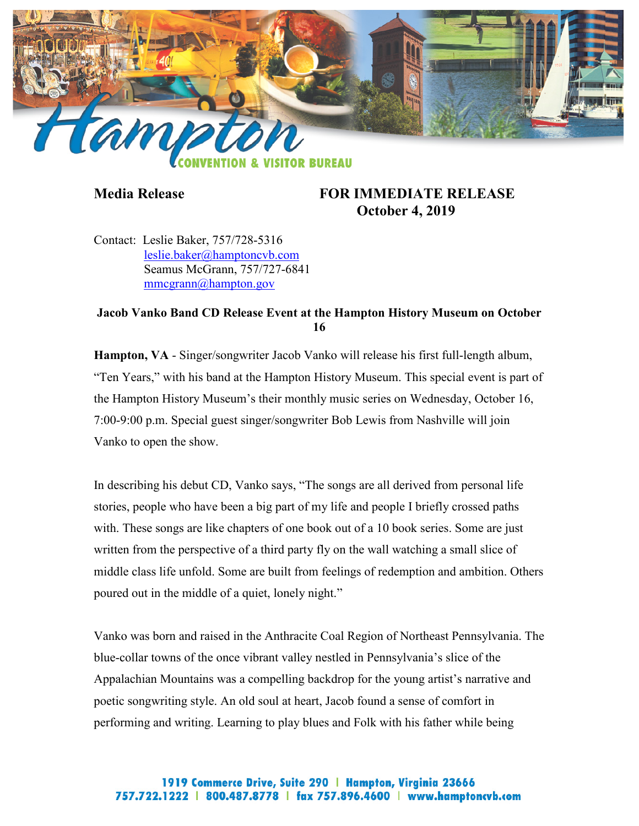

## **Media Release FOR IMMEDIATE RELEASE October 4, 2019**

Contact: Leslie Baker, 757/728-5316 [leslie.baker@hamptoncvb.com](mailto:leslie.baker@hamptoncvb.com) Seamus McGrann, 757/727-6841 [mmcgrann@hampton.gov](mailto:mmcgrann@hampton.gov)

## **Jacob Vanko Band CD Release Event at the Hampton History Museum on October 16**

**Hampton, VA** - Singer/songwriter Jacob Vanko will release his first full-length album, "Ten Years," with his band at the Hampton History Museum. This special event is part of the Hampton History Museum's their monthly music series on Wednesday, October 16, 7:00-9:00 p.m. Special guest singer/songwriter Bob Lewis from Nashville will join Vanko to open the show.

In describing his debut CD, Vanko says, "The songs are all derived from personal life stories, people who have been a big part of my life and people I briefly crossed paths with. These songs are like chapters of one book out of a 10 book series. Some are just written from the perspective of a third party fly on the wall watching a small slice of middle class life unfold. Some are built from feelings of redemption and ambition. Others poured out in the middle of a quiet, lonely night."

Vanko was born and raised in the Anthracite Coal Region of Northeast Pennsylvania. The blue-collar towns of the once vibrant valley nestled in Pennsylvania's slice of the Appalachian Mountains was a compelling backdrop for the young artist's narrative and poetic songwriting style. An old soul at heart, Jacob found a sense of comfort in performing and writing. Learning to play blues and Folk with his father while being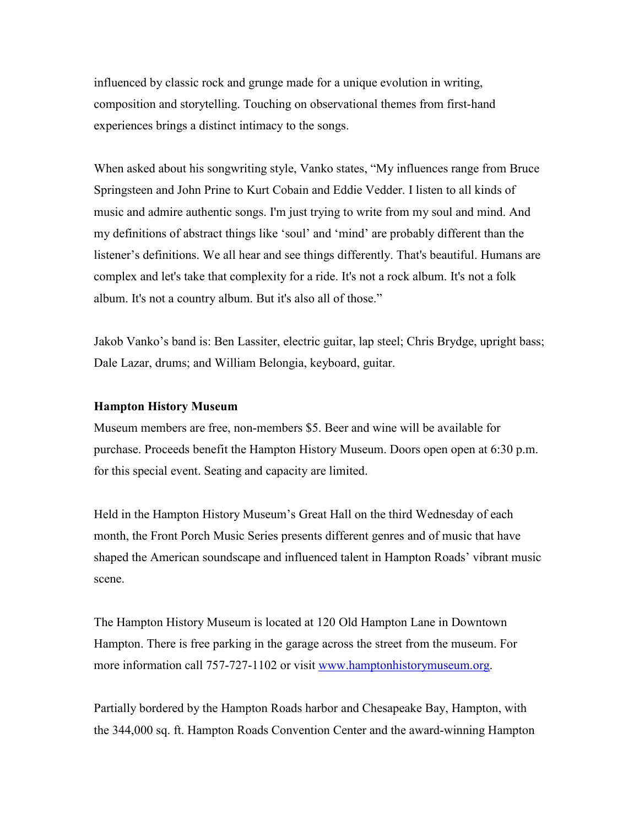influenced by classic rock and grunge made for a unique evolution in writing, composition and storytelling. Touching on observational themes from first-hand experiences brings a distinct intimacy to the songs.

When asked about his songwriting style, Vanko states, "My influences range from Bruce Springsteen and John Prine to Kurt Cobain and Eddie Vedder. I listen to all kinds of music and admire authentic songs. I'm just trying to write from my soul and mind. And my definitions of abstract things like 'soul' and 'mind' are probably different than the listener's definitions. We all hear and see things differently. That's beautiful. Humans are complex and let's take that complexity for a ride. It's not a rock album. It's not a folk album. It's not a country album. But it's also all of those."

Jakob Vanko's band is: Ben Lassiter, electric guitar, lap steel; Chris Brydge, upright bass; Dale Lazar, drums; and William Belongia, keyboard, guitar.

## **Hampton History Museum**

Museum members are free, non-members \$5. Beer and wine will be available for purchase. Proceeds benefit the Hampton History Museum. Doors open open at 6:30 p.m. for this special event. Seating and capacity are limited.

Held in the Hampton History Museum's Great Hall on the third Wednesday of each month, the Front Porch Music Series presents different genres and of music that have shaped the American soundscape and influenced talent in Hampton Roads' vibrant music scene.

The Hampton History Museum is located at 120 Old Hampton Lane in Downtown Hampton. There is free parking in the garage across the street from the museum. For more information call 757-727-1102 or visit [www.hamptonhistorymuseum.org.](http://www.hamptonhistorymuseum.org/)

Partially bordered by the Hampton Roads harbor and Chesapeake Bay, Hampton, with the 344,000 sq. ft. Hampton Roads Convention Center and the award-winning Hampton